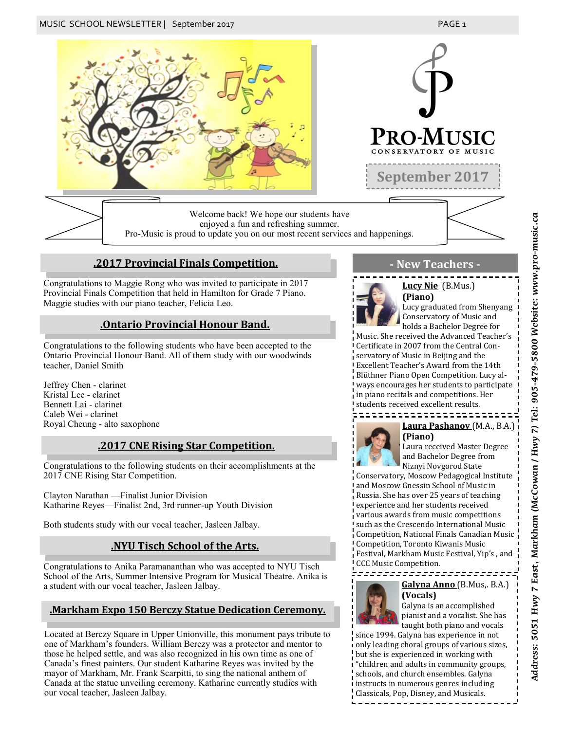

enjoyed a fun and refreshing summer. Pro-Music is proud to update you on our most recent services and happenings.

### **.2017 Provincial Finals Competition. - New Teachers -**

Congratulations to Maggie Rong who was invited to participate in 2017 Provincial Finals Competition that held in Hamilton for Grade 7 Piano. Maggie studies with our piano teacher, Felicia Leo.

#### **.Ontario Provincial Honour Band.**

Congratulations to the following students who have been accepted to the Ontario Provincial Honour Band. All of them study with our woodwinds teacher, Daniel Smith

Jeffrey Chen - clarinet Kristal Lee - clarinet Bennett Lai - clarinet Caleb Wei - clarinet Royal Cheung - alto saxophone

#### **.2017 CNE Rising Star Competition.**

Congratulations to the following students on their accomplishments at the 2017 CNE Rising Star Competition.

Clayton Narathan —Finalist Junior Division Katharine Reyes—Finalist 2nd, 3rd runner-up Youth Division

Both students study with our vocal teacher, Jasleen Jalbay.

#### **.NYU Tisch School of the Arts.**

Congratulations to Anika Paramananthan who was accepted to NYU Tisch School of the Arts, Summer Intensive Program for Musical Theatre. Anika is a student with our vocal teacher, Jasleen Jalbay.

### **.Markham Expo 150 Berczy Statue Dedication Ceremony.**

Located at Berczy Square in Upper Unionville, this monument pays tribute to one of Markham's founders. William Berczy was a protector and mentor to those he helped settle, and was also recognized in his own time as one of Canada's finest painters. Our student Katharine Reyes was invited by the mayor of Markham, Mr. Frank Scarpitti, to sing the national anthem of Canada at the statue unveiling ceremony. Katharine currently studies with our vocal teacher, Jasleen Jalbay.



**Lucy Nie** (B.Mus.) **(Piano)** Lucy graduated from Shenyang Conservatory of Music and

holds a Bachelor Degree for Music. She received the Advanced Teacher's Certificate in 2007 from the Central Conservatory of Music in Beijing and the Excellent Teacher's Award from the 14th Blüthner Piano Open Competition. Lucy always encourages her students to participate in piano recitals and competitions. Her students received excellent results.



## **Laura Pashanov** (M.A., B.A.) **(Piano)**

Laura received Master Degree and Bachelor Degree from Niznyi Novgorod State

Conservatory, Moscow Pedagogical Institute and Moscow Gnessin School of Music in Russia. She has over 25 years of teaching experience and her students received various awards from music competitions such as the Crescendo International Music Competition, National Finals Canadian Music Competition, Toronto Kiwanis Music Festival, Markham Music Festival, Yip's , and CCC Music Competition.

#### ========================= **Galyna Anno** (B.Mus,. B.A.)



**(Vocals)** Galyna is an accomplished pianist and a vocalist. She has

taught both piano and vocals since 1994. Galyna has experience in not only leading choral groups of various sizes, but she is experienced in working with "children and adults in community groups, schools, and church ensembles. Galyna instructs in numerous genres including Classicals, Pop, Disney, and Musicals.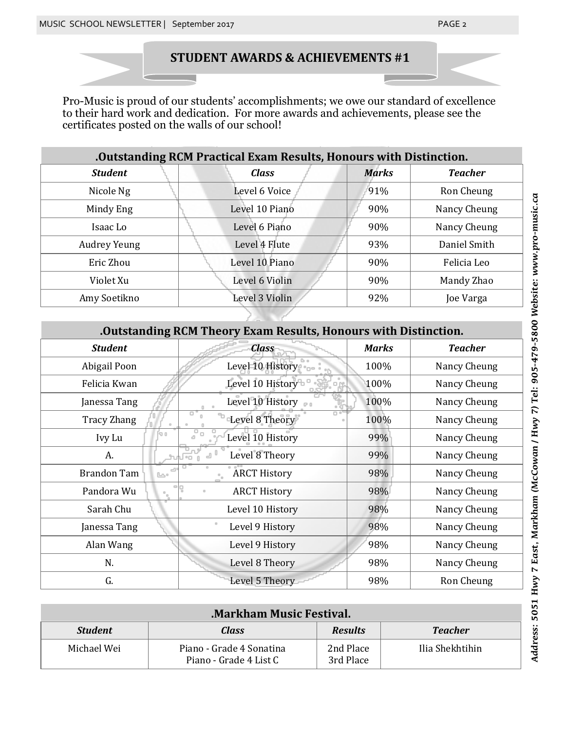# **STUDENT AWARDS & ACHIEVEMENTS #1**

Pro-Music is proud of our students' accomplishments; we owe our standard of excellence to their hard work and dedication. For more awards and achievements, please see the certificates posted on the walls of our school!

| .Outstanding RCM Practical Exam Results, Honours with Distinction. |                |              |                |
|--------------------------------------------------------------------|----------------|--------------|----------------|
| <b>Student</b>                                                     | <b>Class</b>   | <b>Marks</b> | <b>Teacher</b> |
| Nicole Ng                                                          | Level 6 Voice  | 91%          | Ron Cheung     |
| Mindy Eng                                                          | Level 10 Piano | 90%          | Nancy Cheung   |
| Isaac Lo                                                           | Level 6 Piano  | 90%          | Nancy Cheung   |
| <b>Audrey Yeung</b>                                                | Level 4 Flute  | 93%          | Daniel Smith   |
| Eric Zhou                                                          | Level 10 Piano | 90%          | Felicia Leo    |
| Violet Xu                                                          | Level 6 Violin | 90%          | Mandy Zhao     |
| Amy Soetikno                                                       | Level 3 Violin | 92%          | Joe Varga      |

| .Outstanding RCM Theory Exam Results, Honours with Distinction. |                     |              |                |
|-----------------------------------------------------------------|---------------------|--------------|----------------|
| <b>Student</b>                                                  | <b>Class</b>        | <b>Marks</b> | <b>Teacher</b> |
| Abigail Poon                                                    | Level 10 History    | 100%         | Nancy Cheung   |
| Felicia Kwan                                                    | Level 10 History    | 100%         | Nancy Cheung   |
| Janessa Tang                                                    | Level 10 History    | 100%         | Nancy Cheung   |
| Tracy Zhang                                                     | Level 8 Theory      | 100%         | Nancy Cheung   |
| Ivy Lu                                                          | Level 10 History    | 99%          | Nancy Cheung   |
| A.                                                              | Level 8 Theory      | 99%          | Nancy Cheung   |
| Brandon Tam                                                     | <b>ARCT History</b> | 98%          | Nancy Cheung   |
| Pandora Wu                                                      | <b>ARCT History</b> | 98%          | Nancy Cheung   |
| Sarah Chu                                                       | Level 10 History    | 98%          | Nancy Cheung   |
| Janessa Tang                                                    | Level 9 History     | 98%          | Nancy Cheung   |
| Alan Wang                                                       | Level 9 History     | 98%          | Nancy Cheung   |
| N.                                                              | Level 8 Theory      | 98%          | Nancy Cheung   |
| G.                                                              | Level 5 Theory      | 98%          | Ron Cheung     |

| <b>Markham Music Festival.</b> |                                                    |                        |                 |
|--------------------------------|----------------------------------------------------|------------------------|-----------------|
| <b>Student</b>                 | Class                                              | <b>Results</b>         | <b>Teacher</b>  |
| Michael Wei                    | Piano - Grade 4 Sonatina<br>Piano - Grade 4 List C | 2nd Place<br>3rd Place | Ilia Shekhtihin |